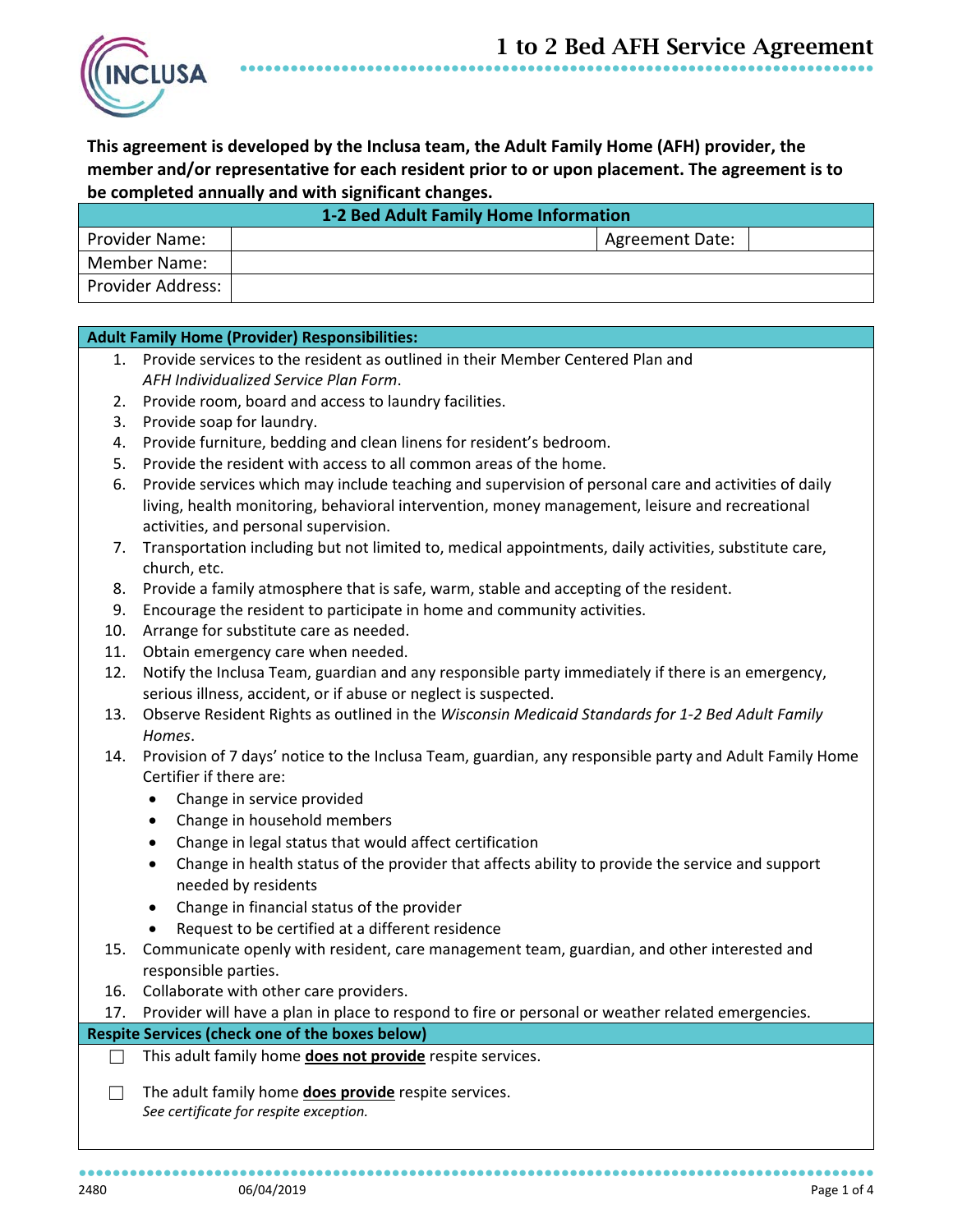

**This agreement is developed by the Inclusa team, the Adult Family Home (AFH) provider, the member and/or representative for each resident prior to or upon placement. The agreement is to be completed annually and with significant changes.**

●●●●●●●●●●●●●●●●●●●●●●●●●●●●●●●●●●●●●●●●●●●●●●●●●●●●●●●●●●●●●●●●●●●●●●●●●●●

| 1-2 Bed Adult Family Home Information |  |                        |  |  |
|---------------------------------------|--|------------------------|--|--|
| <b>Provider Name:</b>                 |  | <b>Agreement Date:</b> |  |  |
| Member Name:                          |  |                        |  |  |
| Provider Address:                     |  |                        |  |  |

# **Adult Family Home (Provider) Responsibilities:**

- 1. Provide services to the resident as outlined in their Member Centered Plan and *AFH Individualized Service Plan Form*.
- 2. Provide room, board and access to laundry facilities.
- 3. Provide soap for laundry.
- 4. Provide furniture, bedding and clean linens for resident's bedroom.
- 5. Provide the resident with access to all common areas of the home.
- 6. Provide services which may include teaching and supervision of personal care and activities of daily living, health monitoring, behavioral intervention, money management, leisure and recreational activities, and personal supervision.
- 7. Transportation including but not limited to, medical appointments, daily activities, substitute care, church, etc.
- 8. Provide a family atmosphere that is safe, warm, stable and accepting of the resident.
- 9. Encourage the resident to participate in home and community activities.
- 10. Arrange for substitute care as needed.
- 11. Obtain emergency care when needed.
- 12. Notify the Inclusa Team, guardian and any responsible party immediately if there is an emergency, serious illness, accident, or if abuse or neglect is suspected.
- 13. Observe Resident Rights as outlined in the *Wisconsin Medicaid Standards for 1-2 Bed Adult Family Homes*.
- 14. Provision of 7 days' notice to the Inclusa Team, guardian, any responsible party and Adult Family Home Certifier if there are:
	- Change in service provided
	- Change in household members
	- Change in legal status that would affect certification
	- Change in health status of the provider that affects ability to provide the service and support needed by residents
	- Change in financial status of the provider
	- Request to be certified at a different residence
- 15. Communicate openly with resident, care management team, guardian, and other interested and responsible parties.
- 16. Collaborate with other care providers.
- 17. Provider will have a plan in place to respond to fire or personal or weather related emergencies.

# **Respite Services (check one of the boxes below)**

- ☐ This adult family home **does not provide** respite services.
- ☐ The adult family home **does provide** respite services. *See certificate for respite exception.*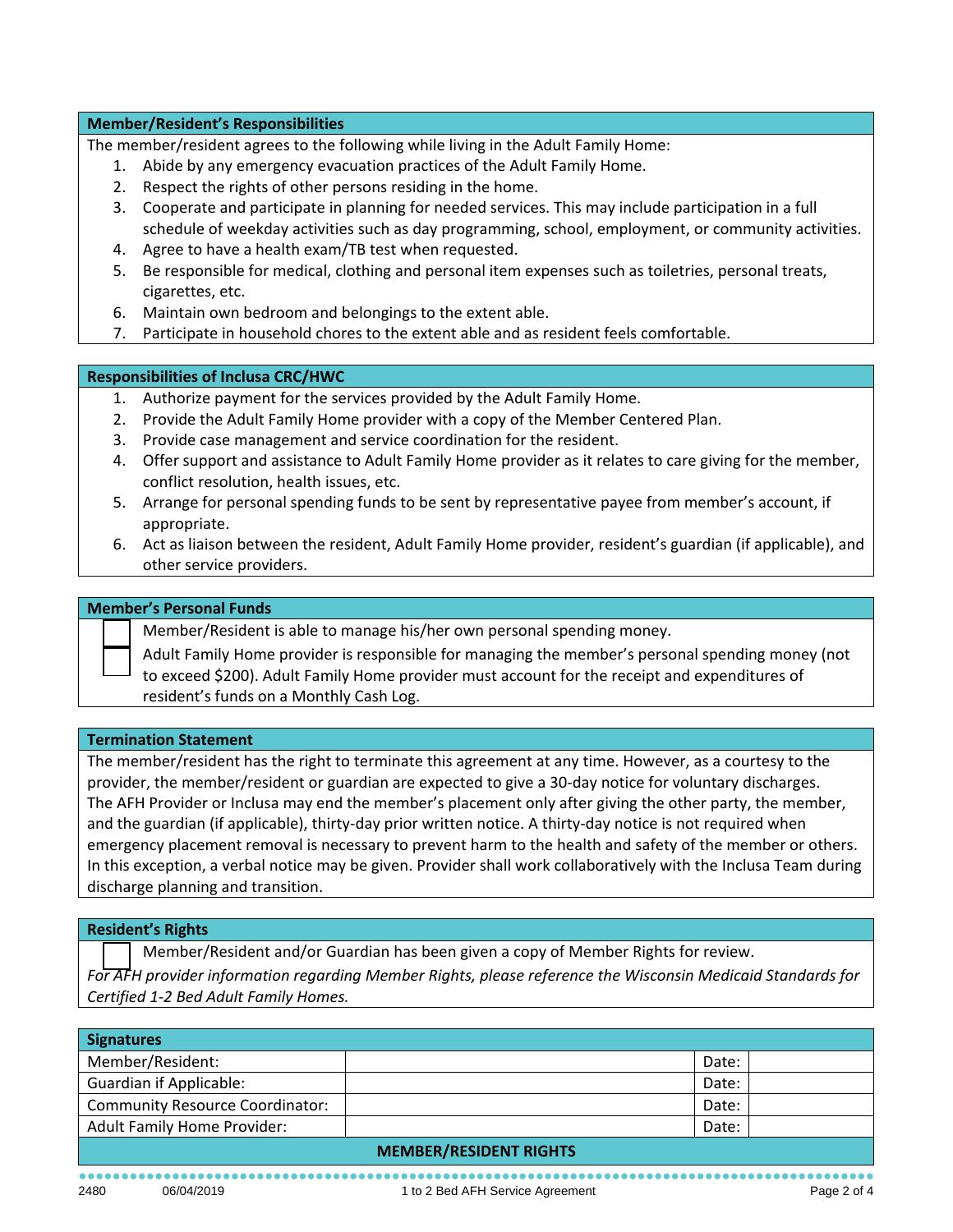### **Member/Resident's Responsibilities**

The member/resident agrees to the following while living in the Adult Family Home:

- 1. Abide by any emergency evacuation practices of the Adult Family Home.
- 2. Respect the rights of other persons residing in the home.
- 3. Cooperate and participate in planning for needed services. This may include participation in a full schedule of weekday activities such as day programming, school, employment, or community activities.
- 4. Agree to have a health exam/TB test when requested.
- 5. Be responsible for medical, clothing and personal item expenses such as toiletries, personal treats, cigarettes, etc.
- 6. Maintain own bedroom and belongings to the extent able.
- 7. Participate in household chores to the extent able and as resident feels comfortable.

### **Responsibilities of Inclusa CRC/HWC**

- 1. Authorize payment for the services provided by the Adult Family Home.
- 2. Provide the Adult Family Home provider with a copy of the Member Centered Plan.
- 3. Provide case management and service coordination for the resident.
- 4. Offer support and assistance to Adult Family Home provider as it relates to care giving for the member, conflict resolution, health issues, etc.
- 5. Arrange for personal spending funds to be sent by representative payee from member's account, if appropriate.
- 6. Act as liaison between the resident, Adult Family Home provider, resident's guardian (if applicable), and other service providers.

# **Member's Personal Funds**

Member/Resident is able to manage his/her own personal spending money.

Adult Family Home provider is responsible for managing the member's personal spending money (not to exceed \$200). Adult Family Home provider must account for the receipt and expenditures of resident's funds on a Monthly Cash Log.

### **Termination Statement**

The member/resident has the right to terminate this agreement at any time. However, as a courtesy to the provider, the member/resident or guardian are expected to give a 30-day notice for voluntary discharges. The AFH Provider or Inclusa may end the member's placement only after giving the other party, the member, and the guardian (if applicable), thirty-day prior written notice. A thirty-day notice is not required when emergency placement removal is necessary to prevent harm to the health and safety of the member or others. In this exception, a verbal notice may be given. Provider shall work collaboratively with the Inclusa Team during discharge planning and transition.

#### **Resident's Rights**

Member/Resident and/or Guardian has been given a copy of Member Rights for review.

*For AFH provider information regarding Member Rights, please reference the Wisconsin Medicaid Standards for Certified 1-2 Bed Adult Family Homes.*

| <b>Signatures</b>                      |  |       |  |  |
|----------------------------------------|--|-------|--|--|
| Member/Resident:                       |  | Date: |  |  |
| <b>Guardian if Applicable:</b>         |  | Date: |  |  |
| <b>Community Resource Coordinator:</b> |  | Date: |  |  |
| <b>Adult Family Home Provider:</b>     |  | Date: |  |  |
|                                        |  |       |  |  |

#### **MEMBER/RESIDENT RIGHTS**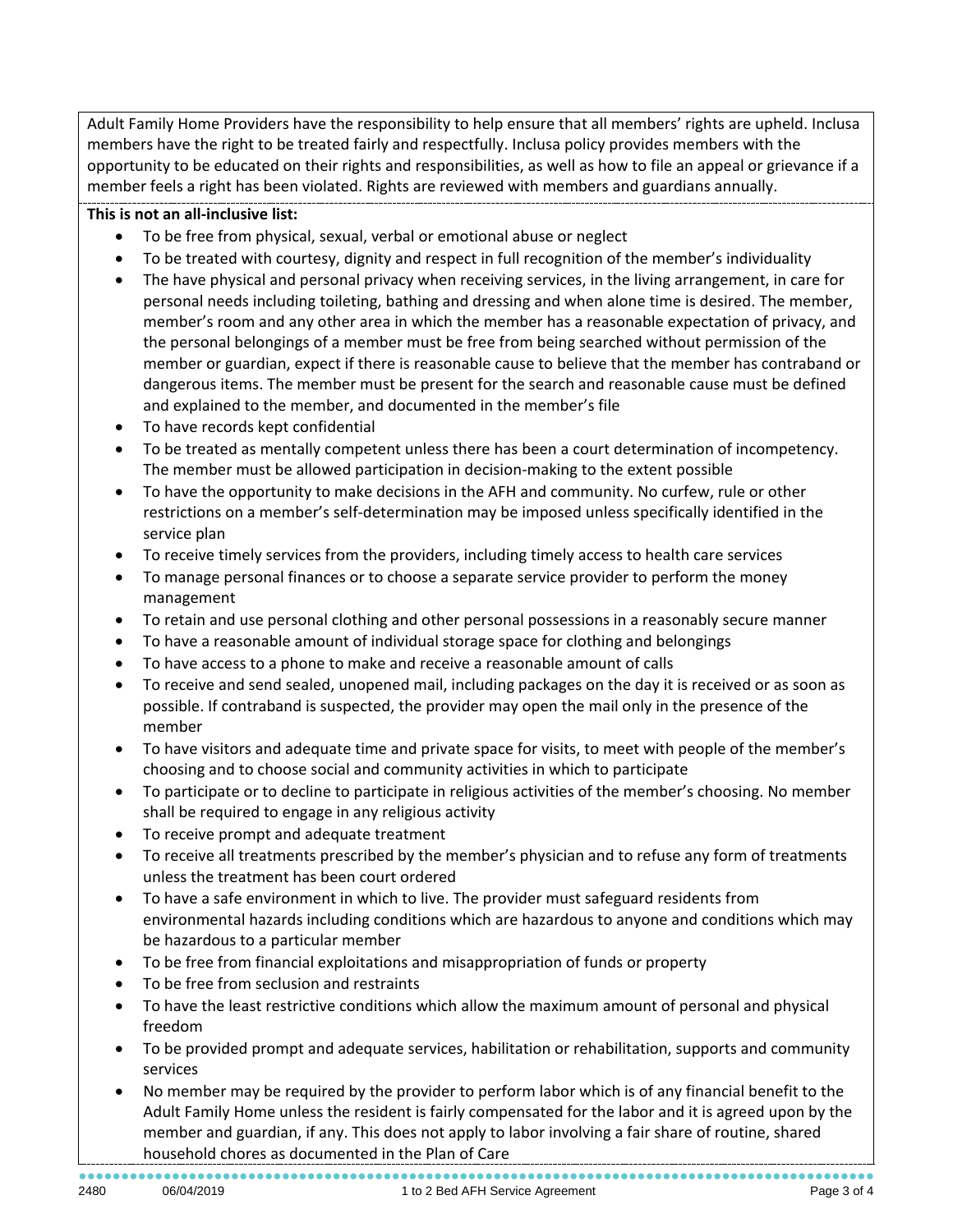Adult Family Home Providers have the responsibility to help ensure that all members' rights are upheld. Inclusa members have the right to be treated fairly and respectfully. Inclusa policy provides members with the opportunity to be educated on their rights and responsibilities, as well as how to file an appeal or grievance if a member feels a right has been violated. Rights are reviewed with members and guardians annually.

# **This is not an all-inclusive list:**

- To be free from physical, sexual, verbal or emotional abuse or neglect
- To be treated with courtesy, dignity and respect in full recognition of the member's individuality
- The have physical and personal privacy when receiving services, in the living arrangement, in care for personal needs including toileting, bathing and dressing and when alone time is desired. The member, member's room and any other area in which the member has a reasonable expectation of privacy, and the personal belongings of a member must be free from being searched without permission of the member or guardian, expect if there is reasonable cause to believe that the member has contraband or dangerous items. The member must be present for the search and reasonable cause must be defined and explained to the member, and documented in the member's file
- To have records kept confidential
- To be treated as mentally competent unless there has been a court determination of incompetency. The member must be allowed participation in decision-making to the extent possible
- To have the opportunity to make decisions in the AFH and community. No curfew, rule or other restrictions on a member's self-determination may be imposed unless specifically identified in the service plan
- To receive timely services from the providers, including timely access to health care services
- To manage personal finances or to choose a separate service provider to perform the money management
- To retain and use personal clothing and other personal possessions in a reasonably secure manner
- To have a reasonable amount of individual storage space for clothing and belongings
- To have access to a phone to make and receive a reasonable amount of calls
- To receive and send sealed, unopened mail, including packages on the day it is received or as soon as possible. If contraband is suspected, the provider may open the mail only in the presence of the member
- To have visitors and adequate time and private space for visits, to meet with people of the member's choosing and to choose social and community activities in which to participate
- To participate or to decline to participate in religious activities of the member's choosing. No member shall be required to engage in any religious activity
- To receive prompt and adequate treatment
- To receive all treatments prescribed by the member's physician and to refuse any form of treatments unless the treatment has been court ordered
- To have a safe environment in which to live. The provider must safeguard residents from environmental hazards including conditions which are hazardous to anyone and conditions which may be hazardous to a particular member
- To be free from financial exploitations and misappropriation of funds or property
- To be free from seclusion and restraints
- To have the least restrictive conditions which allow the maximum amount of personal and physical freedom
- To be provided prompt and adequate services, habilitation or rehabilitation, supports and community services
- No member may be required by the provider to perform labor which is of any financial benefit to the Adult Family Home unless the resident is fairly compensated for the labor and it is agreed upon by the member and guardian, if any. This does not apply to labor involving a fair share of routine, shared household chores as documented in the Plan of Care